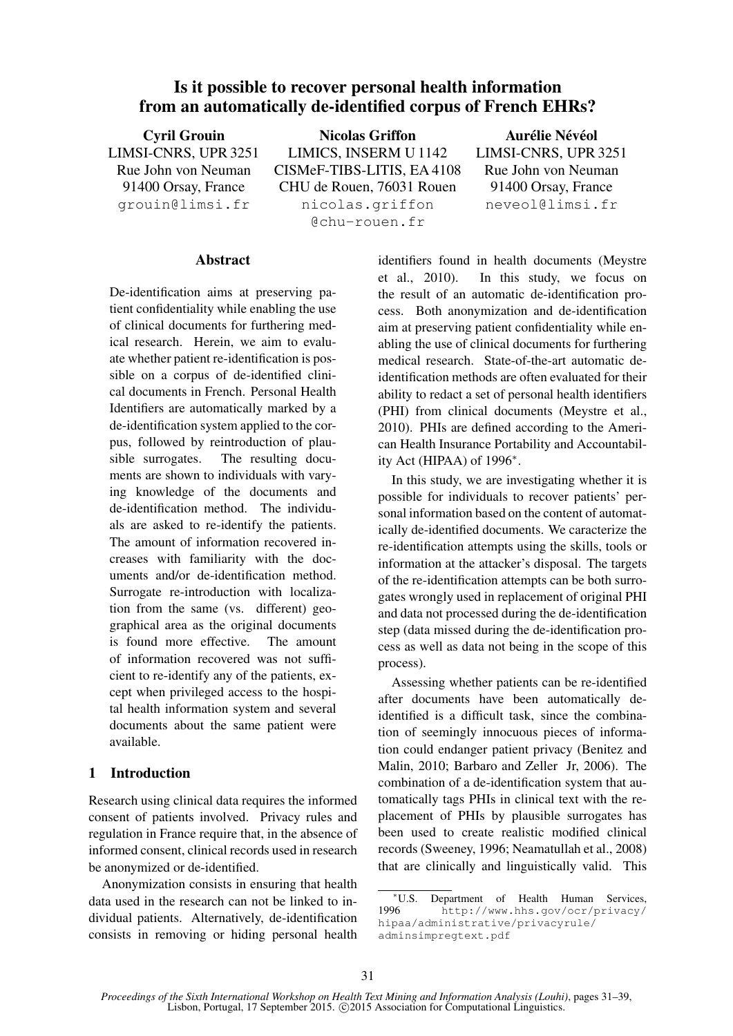# Is it possible to recover personal health information from an automatically de-identified corpus of French EHRs?

Cyril Grouin LIMSI-CNRS, UPR 3251 Rue John von Neuman 91400 Orsay, France grouin@limsi.fr Nicolas Griffon LIMICS, INSERM U 1142 CISMeF-TIBS-LITIS, EA 4108 CHU de Rouen, 76031 Rouen nicolas.griffon @chu-rouen.fr Aurélie Névéol LIMSI-CNRS, UPR 3251 Rue John von Neuman 91400 Orsay, France neveol@limsi.fr

#### **Abstract**

De-identification aims at preserving patient confidentiality while enabling the use of clinical documents for furthering medical research. Herein, we aim to evaluate whether patient re-identification is possible on a corpus of de-identified clinical documents in French. Personal Health Identifiers are automatically marked by a de-identification system applied to the corpus, followed by reintroduction of plausible surrogates. The resulting documents are shown to individuals with varying knowledge of the documents and de-identification method. The individuals are asked to re-identify the patients. The amount of information recovered increases with familiarity with the documents and/or de-identification method. Surrogate re-introduction with localization from the same (vs. different) geographical area as the original documents is found more effective. The amount of information recovered was not sufficient to re-identify any of the patients, except when privileged access to the hospital health information system and several documents about the same patient were available.

## 1 Introduction

Research using clinical data requires the informed consent of patients involved. Privacy rules and regulation in France require that, in the absence of informed consent, clinical records used in research be anonymized or de-identified.

Anonymization consists in ensuring that health data used in the research can not be linked to individual patients. Alternatively, de-identification consists in removing or hiding personal health identifiers found in health documents (Meystre et al., 2010). In this study, we focus on the result of an automatic de-identification process. Both anonymization and de-identification aim at preserving patient confidentiality while enabling the use of clinical documents for furthering medical research. State-of-the-art automatic deidentification methods are often evaluated for their ability to redact a set of personal health identifiers (PHI) from clinical documents (Meystre et al., 2010). PHIs are defined according to the American Health Insurance Portability and Accountability Act (HIPAA) of 1996∗ .

In this study, we are investigating whether it is possible for individuals to recover patients' personal information based on the content of automatically de-identified documents. We caracterize the re-identification attempts using the skills, tools or information at the attacker's disposal. The targets of the re-identification attempts can be both surrogates wrongly used in replacement of original PHI and data not processed during the de-identification step (data missed during the de-identification process as well as data not being in the scope of this process).

Assessing whether patients can be re-identified after documents have been automatically deidentified is a difficult task, since the combination of seemingly innocuous pieces of information could endanger patient privacy (Benitez and Malin, 2010; Barbaro and Zeller Jr, 2006). The combination of a de-identification system that automatically tags PHIs in clinical text with the replacement of PHIs by plausible surrogates has been used to create realistic modified clinical records (Sweeney, 1996; Neamatullah et al., 2008) that are clinically and linguistically valid. This

<sup>\*</sup>U.S. Department of Health Human Services,<br>1996  $h_{\text{th}} \sim \frac{100}{\text{N}}$ http://www.hhs.gov/ocr/privacy/ hipaa/administrative/privacyrule/ adminsimpregtext.pdf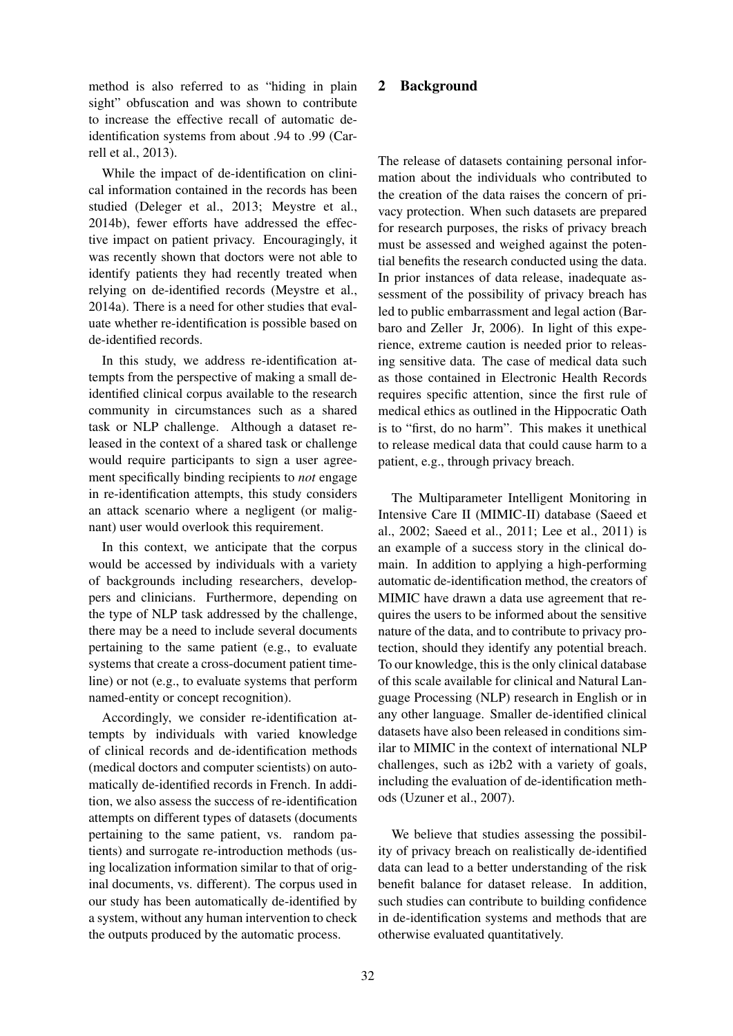method is also referred to as "hiding in plain sight" obfuscation and was shown to contribute to increase the effective recall of automatic deidentification systems from about .94 to .99 (Carrell et al., 2013).

While the impact of de-identification on clinical information contained in the records has been studied (Deleger et al., 2013; Meystre et al., 2014b), fewer efforts have addressed the effective impact on patient privacy. Encouragingly, it was recently shown that doctors were not able to identify patients they had recently treated when relying on de-identified records (Meystre et al., 2014a). There is a need for other studies that evaluate whether re-identification is possible based on de-identified records.

In this study, we address re-identification attempts from the perspective of making a small deidentified clinical corpus available to the research community in circumstances such as a shared task or NLP challenge. Although a dataset released in the context of a shared task or challenge would require participants to sign a user agreement specifically binding recipients to *not* engage in re-identification attempts, this study considers an attack scenario where a negligent (or malignant) user would overlook this requirement.

In this context, we anticipate that the corpus would be accessed by individuals with a variety of backgrounds including researchers, developpers and clinicians. Furthermore, depending on the type of NLP task addressed by the challenge, there may be a need to include several documents pertaining to the same patient (e.g., to evaluate systems that create a cross-document patient timeline) or not (e.g., to evaluate systems that perform named-entity or concept recognition).

Accordingly, we consider re-identification attempts by individuals with varied knowledge of clinical records and de-identification methods (medical doctors and computer scientists) on automatically de-identified records in French. In addition, we also assess the success of re-identification attempts on different types of datasets (documents pertaining to the same patient, vs. random patients) and surrogate re-introduction methods (using localization information similar to that of original documents, vs. different). The corpus used in our study has been automatically de-identified by a system, without any human intervention to check the outputs produced by the automatic process.

# 2 Background

The release of datasets containing personal information about the individuals who contributed to the creation of the data raises the concern of privacy protection. When such datasets are prepared for research purposes, the risks of privacy breach must be assessed and weighed against the potential benefits the research conducted using the data. In prior instances of data release, inadequate assessment of the possibility of privacy breach has led to public embarrassment and legal action (Barbaro and Zeller Jr, 2006). In light of this experience, extreme caution is needed prior to releasing sensitive data. The case of medical data such as those contained in Electronic Health Records requires specific attention, since the first rule of medical ethics as outlined in the Hippocratic Oath is to "first, do no harm". This makes it unethical to release medical data that could cause harm to a patient, e.g., through privacy breach.

The Multiparameter Intelligent Monitoring in Intensive Care II (MIMIC-II) database (Saeed et al., 2002; Saeed et al., 2011; Lee et al., 2011) is an example of a success story in the clinical domain. In addition to applying a high-performing automatic de-identification method, the creators of MIMIC have drawn a data use agreement that requires the users to be informed about the sensitive nature of the data, and to contribute to privacy protection, should they identify any potential breach. To our knowledge, this is the only clinical database of this scale available for clinical and Natural Language Processing (NLP) research in English or in any other language. Smaller de-identified clinical datasets have also been released in conditions similar to MIMIC in the context of international NLP challenges, such as i2b2 with a variety of goals, including the evaluation of de-identification methods (Uzuner et al., 2007).

We believe that studies assessing the possibility of privacy breach on realistically de-identified data can lead to a better understanding of the risk benefit balance for dataset release. In addition, such studies can contribute to building confidence in de-identification systems and methods that are otherwise evaluated quantitatively.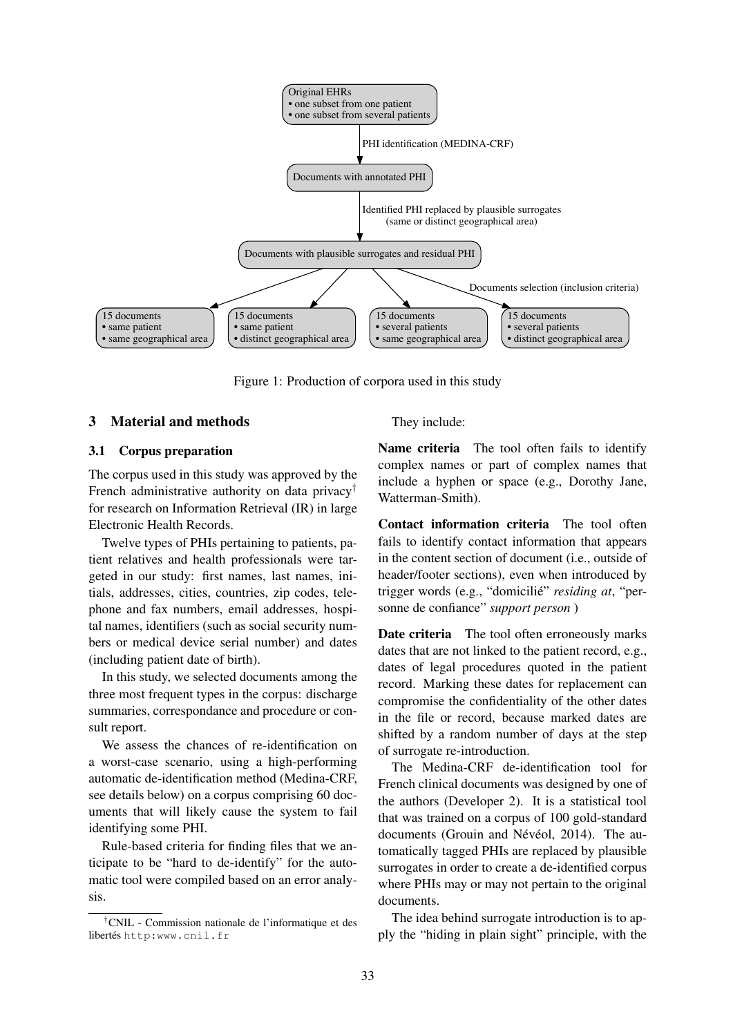

Figure 1: Production of corpora used in this study

#### 3 Material and methods

#### 3.1 Corpus preparation

The corpus used in this study was approved by the French administrative authority on data privacy<sup>†</sup> for research on Information Retrieval (IR) in large Electronic Health Records.

Twelve types of PHIs pertaining to patients, patient relatives and health professionals were targeted in our study: first names, last names, initials, addresses, cities, countries, zip codes, telephone and fax numbers, email addresses, hospital names, identifiers (such as social security numbers or medical device serial number) and dates (including patient date of birth).

In this study, we selected documents among the three most frequent types in the corpus: discharge summaries, correspondance and procedure or consult report.

We assess the chances of re-identification on a worst-case scenario, using a high-performing automatic de-identification method (Medina-CRF, see details below) on a corpus comprising 60 documents that will likely cause the system to fail identifying some PHI.

Rule-based criteria for finding files that we anticipate to be "hard to de-identify" for the automatic tool were compiled based on an error analysis.

†CNIL - Commission nationale de l'informatique et des libertés http:www.cnil.fr

They include:

Name criteria The tool often fails to identify complex names or part of complex names that include a hyphen or space (e.g., Dorothy Jane, Watterman-Smith).

Contact information criteria The tool often fails to identify contact information that appears in the content section of document (i.e., outside of header/footer sections), even when introduced by trigger words (e.g., "domicilie"´ *residing at*, "personne de confiance" *support person* )

Date criteria The tool often erroneously marks dates that are not linked to the patient record, e.g., dates of legal procedures quoted in the patient record. Marking these dates for replacement can compromise the confidentiality of the other dates in the file or record, because marked dates are shifted by a random number of days at the step of surrogate re-introduction.

The Medina-CRF de-identification tool for French clinical documents was designed by one of the authors (Developer 2). It is a statistical tool that was trained on a corpus of 100 gold-standard documents (Grouin and Névéol, 2014). The automatically tagged PHIs are replaced by plausible surrogates in order to create a de-identified corpus where PHIs may or may not pertain to the original documents.

The idea behind surrogate introduction is to apply the "hiding in plain sight" principle, with the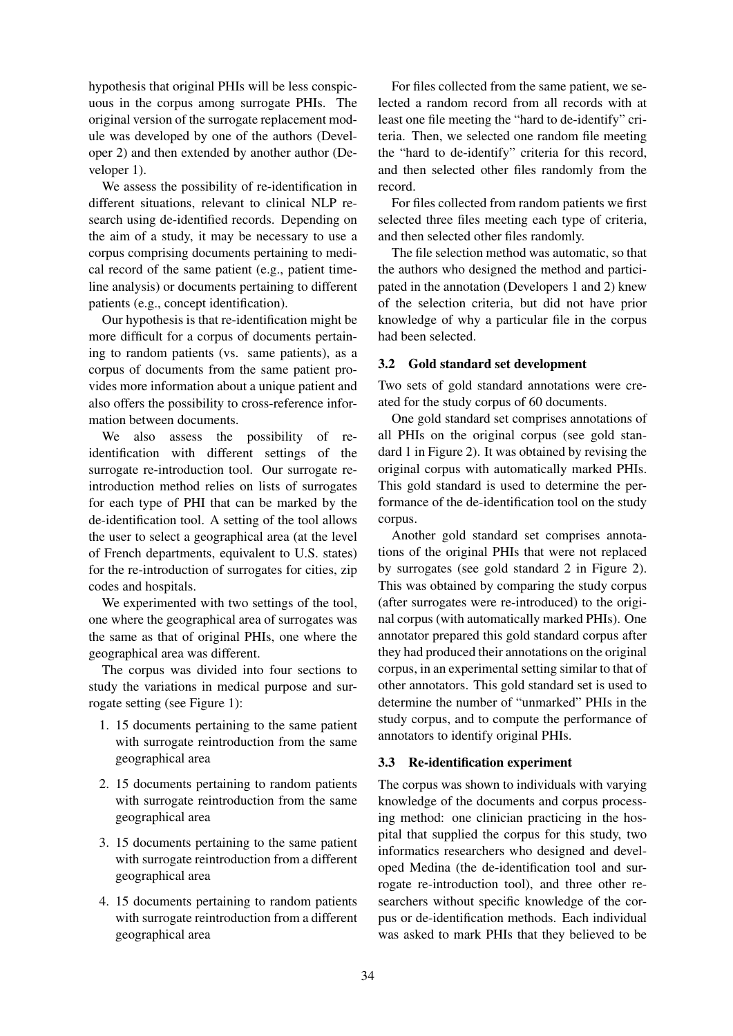hypothesis that original PHIs will be less conspicuous in the corpus among surrogate PHIs. The original version of the surrogate replacement module was developed by one of the authors (Developer 2) and then extended by another author (Developer 1).

We assess the possibility of re-identification in different situations, relevant to clinical NLP research using de-identified records. Depending on the aim of a study, it may be necessary to use a corpus comprising documents pertaining to medical record of the same patient (e.g., patient timeline analysis) or documents pertaining to different patients (e.g., concept identification).

Our hypothesis is that re-identification might be more difficult for a corpus of documents pertaining to random patients (vs. same patients), as a corpus of documents from the same patient provides more information about a unique patient and also offers the possibility to cross-reference information between documents.

We also assess the possibility of reidentification with different settings of the surrogate re-introduction tool. Our surrogate reintroduction method relies on lists of surrogates for each type of PHI that can be marked by the de-identification tool. A setting of the tool allows the user to select a geographical area (at the level of French departments, equivalent to U.S. states) for the re-introduction of surrogates for cities, zip codes and hospitals.

We experimented with two settings of the tool, one where the geographical area of surrogates was the same as that of original PHIs, one where the geographical area was different.

The corpus was divided into four sections to study the variations in medical purpose and surrogate setting (see Figure 1):

- 1. 15 documents pertaining to the same patient with surrogate reintroduction from the same geographical area
- 2. 15 documents pertaining to random patients with surrogate reintroduction from the same geographical area
- 3. 15 documents pertaining to the same patient with surrogate reintroduction from a different geographical area
- 4. 15 documents pertaining to random patients with surrogate reintroduction from a different geographical area

For files collected from the same patient, we selected a random record from all records with at least one file meeting the "hard to de-identify" criteria. Then, we selected one random file meeting the "hard to de-identify" criteria for this record, and then selected other files randomly from the record.

For files collected from random patients we first selected three files meeting each type of criteria, and then selected other files randomly.

The file selection method was automatic, so that the authors who designed the method and participated in the annotation (Developers 1 and 2) knew of the selection criteria, but did not have prior knowledge of why a particular file in the corpus had been selected.

## 3.2 Gold standard set development

Two sets of gold standard annotations were created for the study corpus of 60 documents.

One gold standard set comprises annotations of all PHIs on the original corpus (see gold standard 1 in Figure 2). It was obtained by revising the original corpus with automatically marked PHIs. This gold standard is used to determine the performance of the de-identification tool on the study corpus.

Another gold standard set comprises annotations of the original PHIs that were not replaced by surrogates (see gold standard 2 in Figure 2). This was obtained by comparing the study corpus (after surrogates were re-introduced) to the original corpus (with automatically marked PHIs). One annotator prepared this gold standard corpus after they had produced their annotations on the original corpus, in an experimental setting similar to that of other annotators. This gold standard set is used to determine the number of "unmarked" PHIs in the study corpus, and to compute the performance of annotators to identify original PHIs.

## 3.3 Re-identification experiment

The corpus was shown to individuals with varying knowledge of the documents and corpus processing method: one clinician practicing in the hospital that supplied the corpus for this study, two informatics researchers who designed and developed Medina (the de-identification tool and surrogate re-introduction tool), and three other researchers without specific knowledge of the corpus or de-identification methods. Each individual was asked to mark PHIs that they believed to be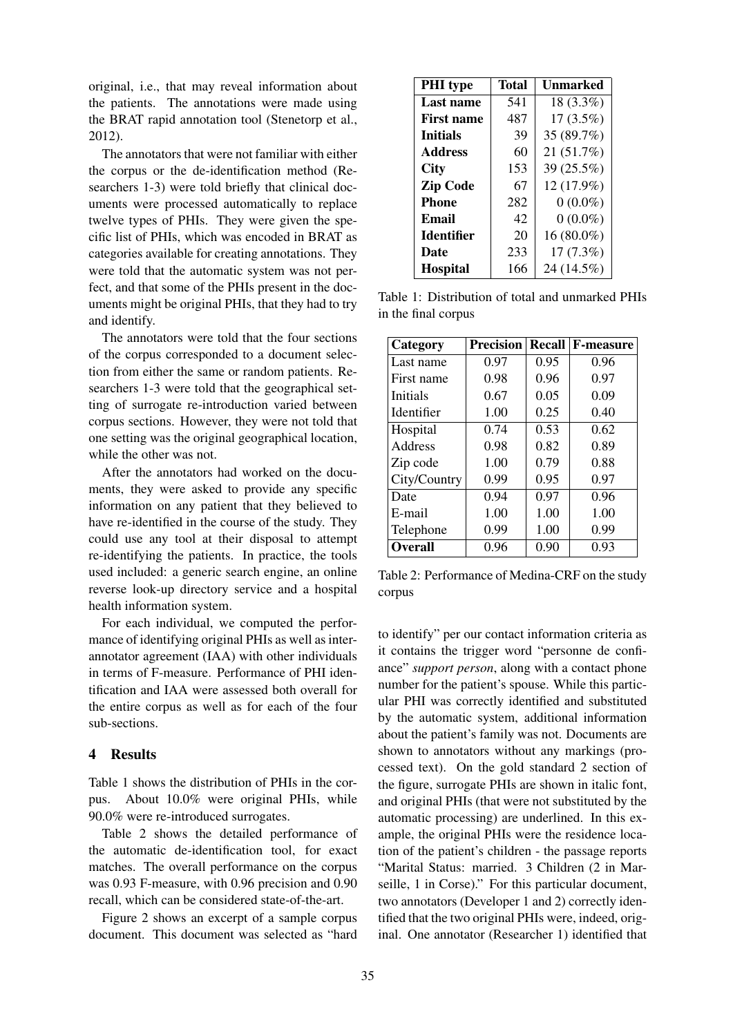original, i.e., that may reveal information about the patients. The annotations were made using the BRAT rapid annotation tool (Stenetorp et al., 2012).

The annotators that were not familiar with either the corpus or the de-identification method (Researchers 1-3) were told briefly that clinical documents were processed automatically to replace twelve types of PHIs. They were given the specific list of PHIs, which was encoded in BRAT as categories available for creating annotations. They were told that the automatic system was not perfect, and that some of the PHIs present in the documents might be original PHIs, that they had to try and identify.

The annotators were told that the four sections of the corpus corresponded to a document selection from either the same or random patients. Researchers 1-3 were told that the geographical setting of surrogate re-introduction varied between corpus sections. However, they were not told that one setting was the original geographical location, while the other was not.

After the annotators had worked on the documents, they were asked to provide any specific information on any patient that they believed to have re-identified in the course of the study. They could use any tool at their disposal to attempt re-identifying the patients. In practice, the tools used included: a generic search engine, an online reverse look-up directory service and a hospital health information system.

For each individual, we computed the performance of identifying original PHIs as well as interannotator agreement (IAA) with other individuals in terms of F-measure. Performance of PHI identification and IAA were assessed both overall for the entire corpus as well as for each of the four sub-sections.

## 4 Results

Table 1 shows the distribution of PHIs in the corpus. About 10.0% were original PHIs, while 90.0% were re-introduced surrogates.

Table 2 shows the detailed performance of the automatic de-identification tool, for exact matches. The overall performance on the corpus was 0.93 F-measure, with 0.96 precision and 0.90 recall, which can be considered state-of-the-art.

Figure 2 shows an excerpt of a sample corpus document. This document was selected as "hard

| <b>PHI</b> type   | <b>Total</b> | <b>Unmarked</b> |
|-------------------|--------------|-----------------|
| <b>Last name</b>  | 541          | 18 (3.3%)       |
| <b>First name</b> | 487          | $17(3.5\%)$     |
| <b>Initials</b>   | 39           | 35 (89.7%)      |
| <b>Address</b>    | 60           | 21 (51.7%)      |
| <b>City</b>       | 153          | 39 (25.5%)      |
| <b>Zip Code</b>   | 67           | 12 (17.9%)      |
| <b>Phone</b>      | 282          | $0(0.0\%)$      |
| Email             | 42           | $0(0.0\%)$      |
| <b>Identifier</b> | 20           | 16 (80.0%)      |
| Date              | 233          | 17(7.3%)        |
| <b>Hospital</b>   | 166          | 24 (14.5%)      |

Table 1: Distribution of total and unmarked PHIs in the final corpus

| Category       | <b>Precision</b> |      | <b>Recall F-measure</b> |
|----------------|------------------|------|-------------------------|
| Last name      | 0.97             | 0.95 | 0.96                    |
| First name     | 0.98             | 0.96 | 0.97                    |
| Initials       | 0.67             | 0.05 | 0.09                    |
| Identifier     | 1.00             | 0.25 | 0.40                    |
| Hospital       | 0.74             | 0.53 | 0.62                    |
| Address        | 0.98             | 0.82 | 0.89                    |
| Zip code       | 1.00             | 0.79 | 0.88                    |
| City/Country   | 0.99             | 0.95 | 0.97                    |
| Date           | 0.94             | 0.97 | 0.96                    |
| E-mail         | 1.00             | 1.00 | 1.00                    |
| Telephone      | 0.99             | 1.00 | 0.99                    |
| <b>Overall</b> | 0.96             | 0.90 | 0.93                    |

Table 2: Performance of Medina-CRF on the study corpus

to identify" per our contact information criteria as it contains the trigger word "personne de confiance" *support person*, along with a contact phone number for the patient's spouse. While this particular PHI was correctly identified and substituted by the automatic system, additional information about the patient's family was not. Documents are shown to annotators without any markings (processed text). On the gold standard 2 section of the figure, surrogate PHIs are shown in italic font, and original PHIs (that were not substituted by the automatic processing) are underlined. In this example, the original PHIs were the residence location of the patient's children - the passage reports "Marital Status: married. 3 Children (2 in Marseille, 1 in Corse)." For this particular document, two annotators (Developer 1 and 2) correctly identified that the two original PHIs were, indeed, original. One annotator (Researcher 1) identified that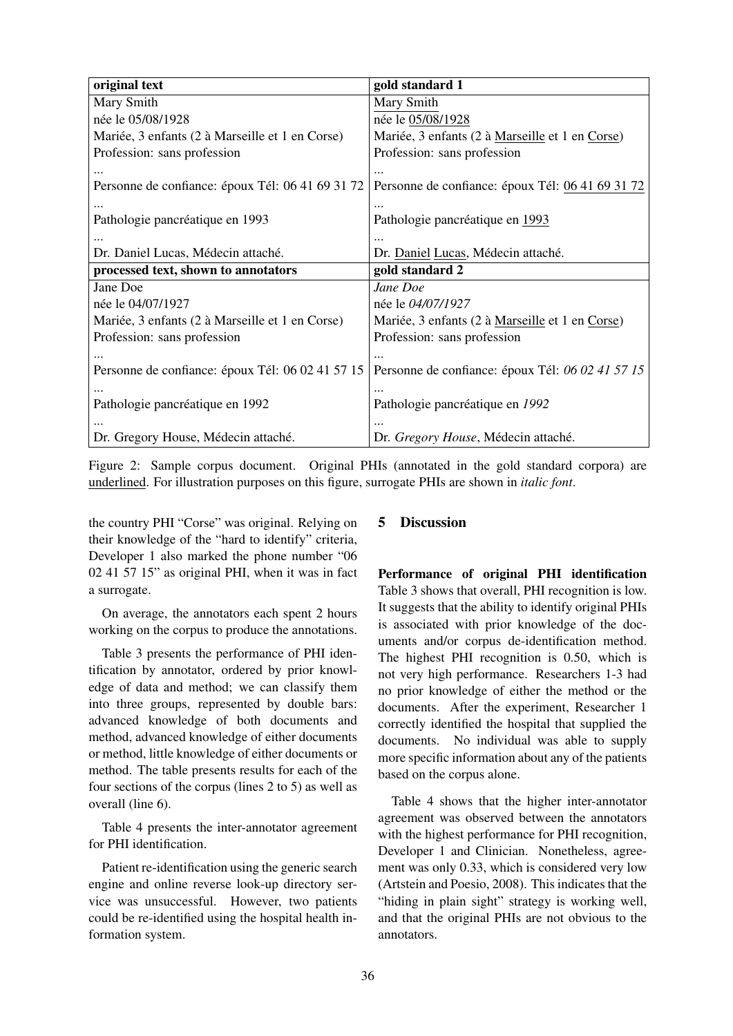| original text                                    | gold standard 1                                  |
|--------------------------------------------------|--------------------------------------------------|
| Mary Smith                                       | Mary Smith                                       |
| née le 05/08/1928                                | née le 05/08/1928                                |
| Mariée, 3 enfants (2 à Marseille et 1 en Corse)  | Mariée, 3 enfants (2 à Marseille et 1 en Corse)  |
| Profession: sans profession                      | Profession: sans profession                      |
|                                                  |                                                  |
| Personne de confiance: époux Tél: 06 41 69 31 72 | Personne de confiance: époux Tél: 06 41 69 31 72 |
|                                                  |                                                  |
| Pathologie pancréatique en 1993                  | Pathologie pancréatique en 1993                  |
|                                                  |                                                  |
| Dr. Daniel Lucas, Médecin attaché.               | Dr. Daniel Lucas, Médecin attaché.               |
| processed text, shown to annotators              | gold standard 2                                  |
| Jane Doe                                         | Jane Doe                                         |
| née le 04/07/1927                                | née le 04/07/1927                                |
| Mariée, 3 enfants (2 à Marseille et 1 en Corse)  | Mariée, 3 enfants (2 à Marseille et 1 en Corse)  |
| Profession: sans profession                      | Profession: sans profession                      |
|                                                  |                                                  |
| Personne de confiance: époux Tél: 06 02 41 57 15 | Personne de confiance: époux Tél: 06 02 41 57 15 |
|                                                  |                                                  |
| Pathologie pancréatique en 1992                  | Pathologie pancréatique en 1992                  |
|                                                  |                                                  |
| Dr. Gregory House, Médecin attaché.              | Dr. Gregory House, Médecin attaché.              |

Figure 2: Sample corpus document. Original PHIs (annotated in the gold standard corpora) are underlined. For illustration purposes on this figure, surrogate PHIs are shown in *italic font*.

the country PHI "Corse" was original. Relying on their knowledge of the "hard to identify" criteria, Developer 1 also marked the phone number "06 02 41 57 15" as original PHI, when it was in fact a surrogate.

On average, the annotators each spent 2 hours working on the corpus to produce the annotations.

Table 3 presents the performance of PHI identification by annotator, ordered by prior knowledge of data and method; we can classify them into three groups, represented by double bars: advanced knowledge of both documents and method, advanced knowledge of either documents or method, little knowledge of either documents or method. The table presents results for each of the four sections of the corpus (lines 2 to 5) as well as overall (line 6).

Table 4 presents the inter-annotator agreement for PHI identification.

Patient re-identification using the generic search engine and online reverse look-up directory service was unsuccessful. However, two patients could be re-identified using the hospital health information system.

## 5 Discussion

Performance of original PHI identification Table 3 shows that overall, PHI recognition is low. It suggests that the ability to identify original PHIs is associated with prior knowledge of the documents and/or corpus de-identification method. The highest PHI recognition is 0.50, which is not very high performance. Researchers 1-3 had no prior knowledge of either the method or the documents. After the experiment, Researcher 1 correctly identified the hospital that supplied the documents. No individual was able to supply more specific information about any of the patients based on the corpus alone.

Table 4 shows that the higher inter-annotator agreement was observed between the annotators with the highest performance for PHI recognition, Developer 1 and Clinician. Nonetheless, agreement was only 0.33, which is considered very low (Artstein and Poesio, 2008). This indicates that the "hiding in plain sight" strategy is working well, and that the original PHIs are not obvious to the annotators.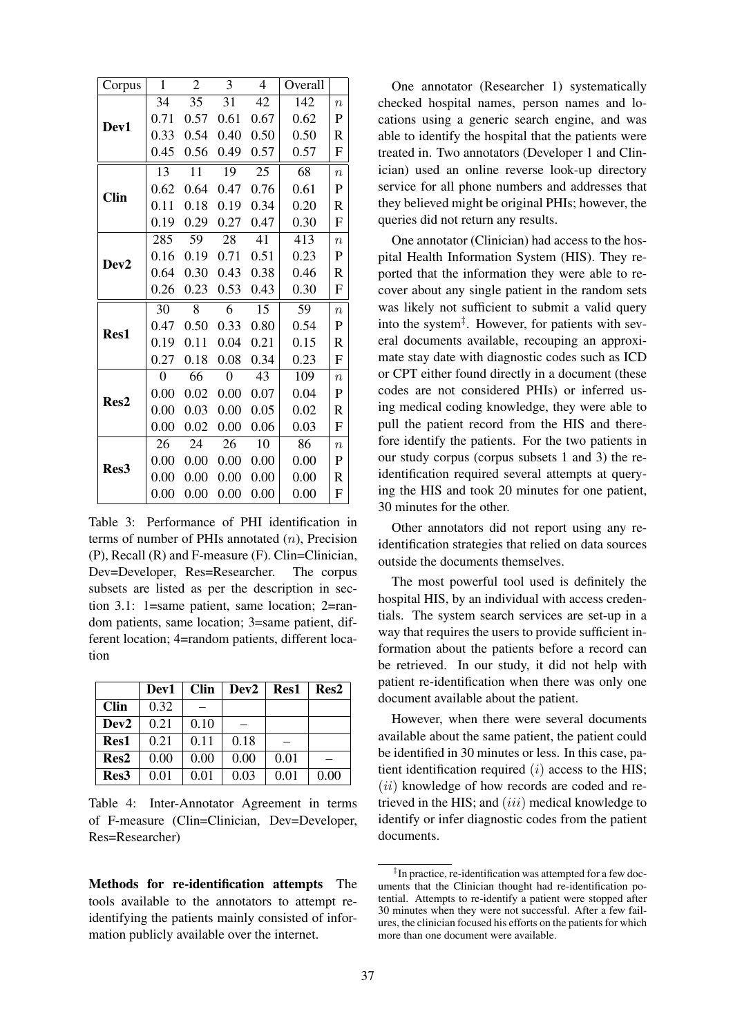| Corpus           | $\mathbf{1}$   | $\overline{2}$ | 3              | 4    | Overall |                           |
|------------------|----------------|----------------|----------------|------|---------|---------------------------|
|                  | 34             | 35             | 31             | 42   | 142     | $\boldsymbol{n}$          |
| Dev1             | 0.71           | 0.57           | 0.61           | 0.67 | 0.62    | $\mathbf P$               |
|                  | 0.33           | 0.54           | 0.40           | 0.50 | 0.50    | R                         |
|                  | 0.45           | 0.56           | 0.49           | 0.57 | 0.57    | F                         |
|                  | 13             | 11             | 19             | 25   | 68      | $\overline{n}$            |
| <b>Clin</b>      | 0.62           | 0.64           | 0.47           | 0.76 | 0.61    | $\mathbf P$               |
|                  | 0.11           | 0.18           | 0.19           | 0.34 | 0.20    | $\mathsf{R}$              |
|                  | 0.19           | 0.29           | 0.27           | 0.47 | 0.30    | F                         |
|                  | 285            | 59             | 28             | 41   | 413     | $\overline{n}$            |
|                  | 0.16           | 0.19           | 0.71           | 0.51 | 0.23    | $\mathbf P$               |
| Dev <sub>2</sub> | 0.64           | 0.30           | 0.43           | 0.38 | 0.46    | $\mathsf{R}$              |
|                  | 0.26           | 0.23           | 0.53           | 0.43 | 0.30    | F                         |
|                  | 30             | 8              | 6              | 15   | 59      | $\overline{n}$            |
| Res1             | 0.47           | 0.50           | 0.33           | 0.80 | 0.54    | $\mathbf P$               |
|                  | 0.19           | 0.11           | 0.04           | 0.21 | 0.15    | $\mathsf{R}$              |
|                  | 0.27           | 0.18           | 0.08           | 0.34 | 0.23    | F                         |
|                  | $\overline{0}$ | 66             | $\overline{0}$ | 43   | 109     | $\overline{n}$            |
| Res2             | 0.00           | 0.02           | 0.00           | 0.07 | 0.04    | $\mathbf P$               |
|                  | 0.00           | 0.03           | 0.00           | 0.05 | 0.02    | $\mathsf{R}$              |
|                  | 0.00           | 0.02           | 0.00           | 0.06 | 0.03    | $\boldsymbol{\mathrm{F}}$ |
| Res <sub>3</sub> | 26             | 24             | 26             | 10   | 86      | $\boldsymbol{n}$          |
|                  | 0.00           | 0.00           | 0.00           | 0.00 | 0.00    | $\mathbf P$               |
|                  | 0.00           | 0.00           | 0.00           | 0.00 | 0.00    | R                         |
|                  | 0.00           | 0.00           | 0.00           | 0.00 | 0.00    | F                         |

Table 3: Performance of PHI identification in terms of number of PHIs annotated (n), Precision (P), Recall (R) and F-measure (F). Clin=Clinician, Dev=Developer, Res=Researcher. The corpus subsets are listed as per the description in section 3.1: 1=same patient, same location; 2=random patients, same location; 3=same patient, different location; 4=random patients, different location

|                  | Dev1 | <b>Clin</b> | Dev <sub>2</sub> | Res1 | Res2 |
|------------------|------|-------------|------------------|------|------|
| <b>Clin</b>      | 0.32 |             |                  |      |      |
| Dev <sub>2</sub> | 0.21 | 0.10        |                  |      |      |
| Res1             | 0.21 | 0.11        | 0.18             |      |      |
| Res2             | 0.00 | 0.00        | 0.00             | 0.01 |      |
| Res3             | 0.01 | 0.01        | 0.03             | 0.01 | 0.00 |

Table 4: Inter-Annotator Agreement in terms of F-measure (Clin=Clinician, Dev=Developer, Res=Researcher)

Methods for re-identification attempts The tools available to the annotators to attempt reidentifying the patients mainly consisted of information publicly available over the internet.

One annotator (Researcher 1) systematically checked hospital names, person names and locations using a generic search engine, and was able to identify the hospital that the patients were treated in. Two annotators (Developer 1 and Clinician) used an online reverse look-up directory service for all phone numbers and addresses that they believed might be original PHIs; however, the queries did not return any results.

One annotator (Clinician) had access to the hospital Health Information System (HIS). They reported that the information they were able to recover about any single patient in the random sets was likely not sufficient to submit a valid query into the system‡ . However, for patients with several documents available, recouping an approximate stay date with diagnostic codes such as ICD or CPT either found directly in a document (these codes are not considered PHIs) or inferred using medical coding knowledge, they were able to pull the patient record from the HIS and therefore identify the patients. For the two patients in our study corpus (corpus subsets 1 and 3) the reidentification required several attempts at querying the HIS and took 20 minutes for one patient, 30 minutes for the other.

Other annotators did not report using any reidentification strategies that relied on data sources outside the documents themselves.

The most powerful tool used is definitely the hospital HIS, by an individual with access credentials. The system search services are set-up in a way that requires the users to provide sufficient information about the patients before a record can be retrieved. In our study, it did not help with patient re-identification when there was only one document available about the patient.

However, when there were several documents available about the same patient, the patient could be identified in 30 minutes or less. In this case, patient identification required  $(i)$  access to the HIS;  $(ii)$  knowledge of how records are coded and retrieved in the HIS; and  $(iii)$  medical knowledge to identify or infer diagnostic codes from the patient documents.

<sup>‡</sup> In practice, re-identification was attempted for a few documents that the Clinician thought had re-identification potential. Attempts to re-identify a patient were stopped after 30 minutes when they were not successful. After a few failures, the clinician focused his efforts on the patients for which more than one document were available.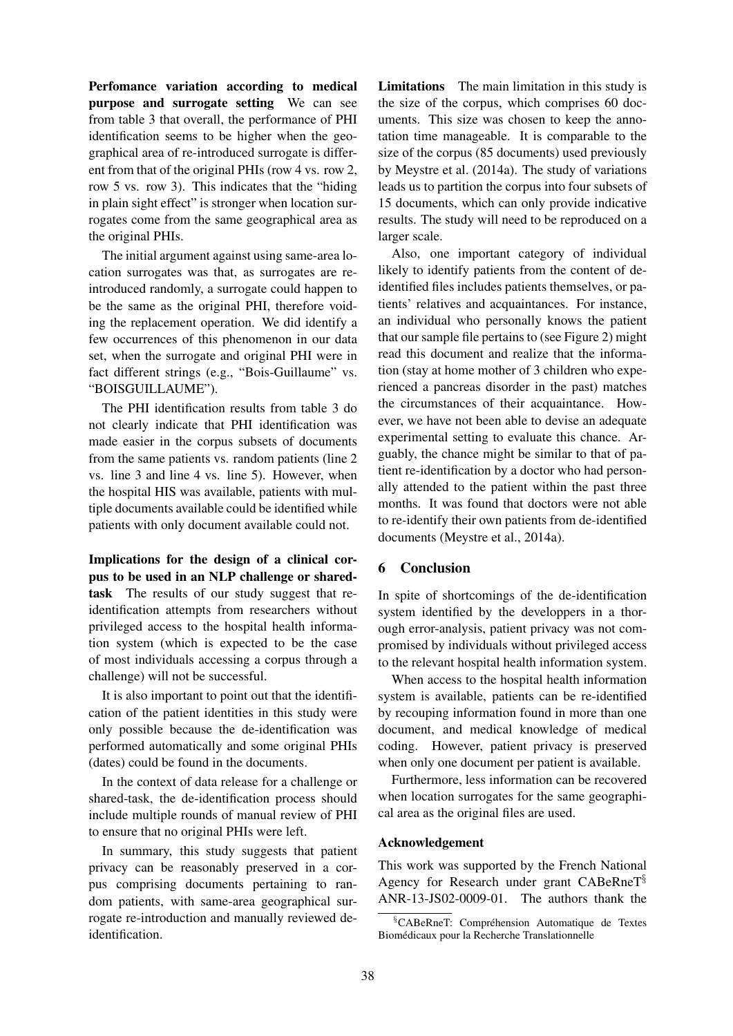Perfomance variation according to medical purpose and surrogate setting We can see from table 3 that overall, the performance of PHI identification seems to be higher when the geographical area of re-introduced surrogate is different from that of the original PHIs (row 4 vs. row 2, row 5 vs. row 3). This indicates that the "hiding in plain sight effect" is stronger when location surrogates come from the same geographical area as the original PHIs.

The initial argument against using same-area location surrogates was that, as surrogates are reintroduced randomly, a surrogate could happen to be the same as the original PHI, therefore voiding the replacement operation. We did identify a few occurrences of this phenomenon in our data set, when the surrogate and original PHI were in fact different strings (e.g., "Bois-Guillaume" vs. "BOISGUILLAUME").

The PHI identification results from table 3 do not clearly indicate that PHI identification was made easier in the corpus subsets of documents from the same patients vs. random patients (line 2 vs. line 3 and line 4 vs. line 5). However, when the hospital HIS was available, patients with multiple documents available could be identified while patients with only document available could not.

Implications for the design of a clinical corpus to be used in an NLP challenge or sharedtask The results of our study suggest that reidentification attempts from researchers without privileged access to the hospital health information system (which is expected to be the case of most individuals accessing a corpus through a challenge) will not be successful.

It is also important to point out that the identification of the patient identities in this study were only possible because the de-identification was performed automatically and some original PHIs (dates) could be found in the documents.

In the context of data release for a challenge or shared-task, the de-identification process should include multiple rounds of manual review of PHI to ensure that no original PHIs were left.

In summary, this study suggests that patient privacy can be reasonably preserved in a corpus comprising documents pertaining to random patients, with same-area geographical surrogate re-introduction and manually reviewed deidentification.

Limitations The main limitation in this study is the size of the corpus, which comprises 60 documents. This size was chosen to keep the annotation time manageable. It is comparable to the size of the corpus (85 documents) used previously by Meystre et al. (2014a). The study of variations leads us to partition the corpus into four subsets of 15 documents, which can only provide indicative results. The study will need to be reproduced on a larger scale.

Also, one important category of individual likely to identify patients from the content of deidentified files includes patients themselves, or patients' relatives and acquaintances. For instance, an individual who personally knows the patient that our sample file pertains to (see Figure 2) might read this document and realize that the information (stay at home mother of 3 children who experienced a pancreas disorder in the past) matches the circumstances of their acquaintance. However, we have not been able to devise an adequate experimental setting to evaluate this chance. Arguably, the chance might be similar to that of patient re-identification by a doctor who had personally attended to the patient within the past three months. It was found that doctors were not able to re-identify their own patients from de-identified documents (Meystre et al., 2014a).

## 6 Conclusion

In spite of shortcomings of the de-identification system identified by the developpers in a thorough error-analysis, patient privacy was not compromised by individuals without privileged access to the relevant hospital health information system.

When access to the hospital health information system is available, patients can be re-identified by recouping information found in more than one document, and medical knowledge of medical coding. However, patient privacy is preserved when only one document per patient is available.

Furthermore, less information can be recovered when location surrogates for the same geographical area as the original files are used.

#### Acknowledgement

This work was supported by the French National Agency for Research under grant CABeRneT§ ANR-13-JS02-0009-01. The authors thank the

 $\S$ CABeRneT: Compréhension Automatique de Textes Biomedicaux pour la Recherche Translationnelle ´